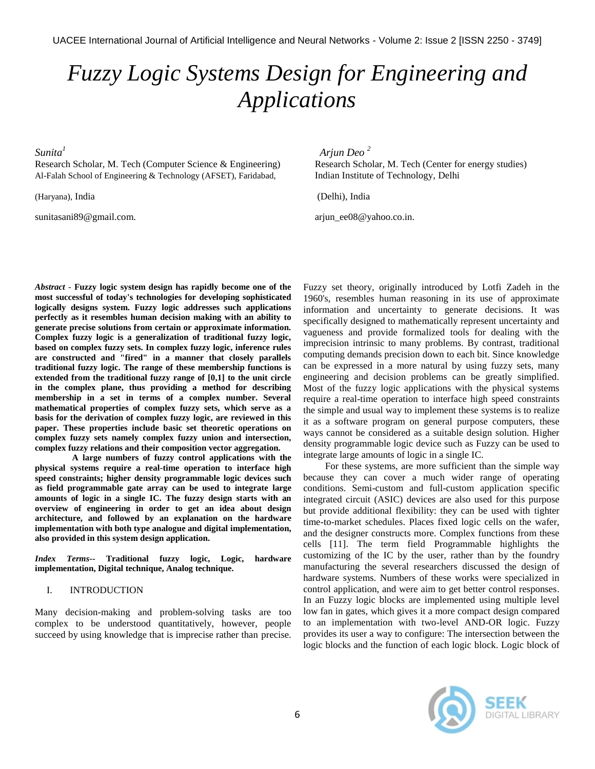# *Fuzzy Logic Systems Design for Engineering and Applications*

*Sunita<sup>1</sup>*

Research Scholar, M. Tech (Computer Science & Engineering) Research Scholar, M. Tech (Center for energy studies) Al-Falah School of Engineering & Technology (AFSET), Faridabad, Indian Institute of Technology, Delhi

(Haryana), India (Delhi), India

[sunitasani89@gmail.com.](mailto:sunitasani89@gmail.com) arguments ariun\_ee08@yahoo.co.in.

 *Arjun Deo <sup>2</sup>*

*Abstract -* **Fuzzy logic system design has rapidly become one of the most successful of today's technologies for developing sophisticated logically designs system. Fuzzy logic addresses such applications perfectly as it resembles human decision making with an ability to generate precise solutions from certain or approximate information. Complex fuzzy logic is a generalization of traditional fuzzy logic, based on complex fuzzy sets. In complex fuzzy logic, inference rules are constructed and "fired" in a manner that closely parallels traditional fuzzy logic. The range of these membership functions is extended from the traditional fuzzy range of [0,1] to the unit circle in the complex plane, thus providing a method for describing membership in a set in terms of a complex number. Several mathematical properties of complex fuzzy sets, which serve as a basis for the derivation of complex fuzzy logic, are reviewed in this paper. These properties include basic set theoretic operations on complex fuzzy sets namely complex fuzzy union and intersection, complex fuzzy relations and their composition vector aggregation.**

**A large numbers of fuzzy control applications with the physical systems require a real-time operation to interface high speed constraints; higher density programmable logic devices such as field programmable gate array can be used to integrate large amounts of logic in a single IC. The fuzzy design starts with an overview of engineering in order to get an idea about design architecture, and followed by an explanation on the hardware implementation with both type analogue and digital implementation, also provided in this system design application.**

*Index Terms--* **Traditional fuzzy logic, Logic, hardware implementation, Digital technique, Analog technique.**

# I. INTRODUCTION

Many decision-making and problem-solving tasks are too complex to be understood quantitatively, however, people succeed by using knowledge that is imprecise rather than precise. Fuzzy set theory, originally introduced by Lotfi Zadeh in the 1960's, resembles human reasoning in its use of approximate information and uncertainty to generate decisions. It was specifically designed to mathematically represent uncertainty and vagueness and provide formalized tools for dealing with the imprecision intrinsic to many problems. By contrast, traditional computing demands precision down to each bit. Since knowledge can be expressed in a more natural by using fuzzy sets, many engineering and decision problems can be greatly simplified. Most of the fuzzy logic applications with the physical systems require a real-time operation to interface high speed constraints the simple and usual way to implement these systems is to realize it as a software program on general purpose computers, these ways cannot be considered as a suitable design solution. Higher density programmable logic device such as Fuzzy can be used to integrate large amounts of logic in a single IC.

For these systems, are more sufficient than the simple way because they can cover a much wider range of operating conditions. Semi-custom and full-custom application specific integrated circuit (ASIC) devices are also used for this purpose but provide additional flexibility: they can be used with tighter time-to-market schedules. Places fixed logic cells on the wafer, and the designer constructs more. Complex functions from these cells [11]. The term field Programmable highlights the customizing of the IC by the user, rather than by the foundry manufacturing the several researchers discussed the design of hardware systems. Numbers of these works were specialized in control application, and were aim to get better control responses. In an Fuzzy logic blocks are implemented using multiple level low fan in gates, which gives it a more compact design compared to an implementation with two-level AND-OR logic. Fuzzy provides its user a way to configure: The intersection between the logic blocks and the function of each logic block. Logic block of

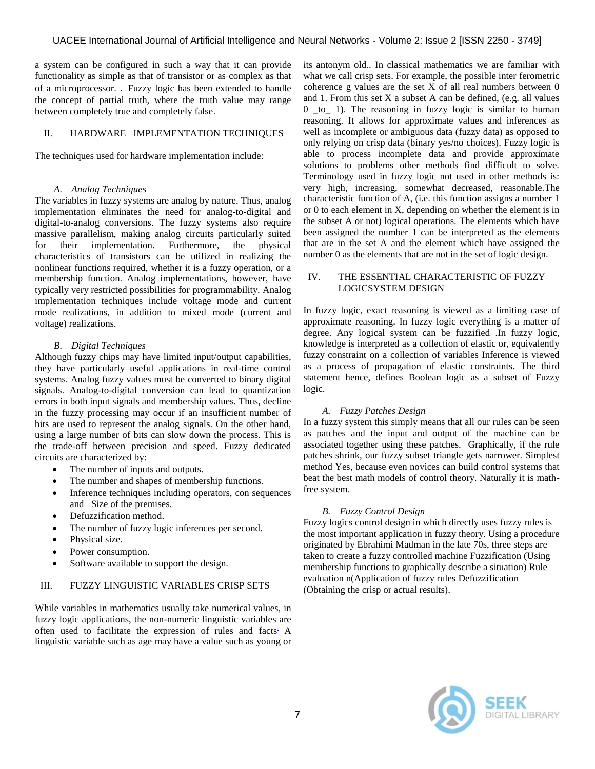a system can be configured in such a way that it can provide functionality as simple as that of transistor or as complex as that of a microprocessor. . Fuzzy logic has been extended to handle the concept of partial truth, where the truth value may range between completely true and completely false.

# II. HARDWARE IMPLEMENTATION TECHNIQUES

The techniques used for hardware implementation include:

#### *A. Analog Techniques*

The variables in fuzzy systems are analog by nature. Thus, analog implementation eliminates the need for analog-to-digital and digital-to-analog conversions. The fuzzy systems also require massive parallelism, making analog circuits particularly suited for their implementation. Furthermore, the physical characteristics of transistors can be utilized in realizing the nonlinear functions required, whether it is a fuzzy operation, or a membership function. Analog implementations, however, have typically very restricted possibilities for programmability. Analog implementation techniques include voltage mode and current mode realizations, in addition to mixed mode (current and voltage) realizations.

# *B. Digital Techniques*

Although fuzzy chips may have limited input/output capabilities, they have particularly useful applications in real-time control systems. Analog fuzzy values must be converted to binary digital signals. Analog-to-digital conversion can lead to quantization errors in both input signals and membership values. Thus, decline in the fuzzy processing may occur if an insufficient number of bits are used to represent the analog signals. On the other hand, using a large number of bits can slow down the process. This is the trade-off between precision and speed. Fuzzy dedicated circuits are characterized by:

- The number of inputs and outputs.
- The number and shapes of membership functions.
- Inference techniques including operators, con sequences and Size of the premises.
- Defuzzification method.
- The number of fuzzy logic inferences per second.
- Physical size.
- Power consumption.
- Software available to support the design.

# III. FUZZY LINGUISTIC VARIABLES CRISP SETS

While variables in mathematics usually take numerical values, in fuzzy logic applications, the non-numeric linguistic variables are often used to facilitate the expression of rules and facts. A linguistic variable such as age may have a value such as young or its antonym old.. In classical mathematics we are familiar with what we call crisp sets. For example, the possible inter ferometric coherence g values are the set  $X$  of all real numbers between  $0$ and 1. From this set  $X$  a subset  $A$  can be defined, (e.g. all values  $0$  \_to\_ 1). The reasoning in fuzzy logic is similar to human reasoning. It allows for approximate values and inferences as well as incomplete or ambiguous data (fuzzy data) as opposed to only relying on crisp data (binary yes/no choices). Fuzzy logic is able to process incomplete data and provide approximate solutions to problems other methods find difficult to solve. Terminology used in fuzzy logic not used in other methods is: very high, increasing, somewhat decreased, reasonable.The characteristic function of A, (i.e. this function assigns a number 1 or 0 to each element in X, depending on whether the element is in the subset A or not) logical operations. The elements which have been assigned the number 1 can be interpreted as the elements that are in the set A and the element which have assigned the number 0 as the elements that are not in the set of logic design.

# IV. THE ESSENTIAL CHARACTERISTIC OF FUZZY LOGICSYSTEM DESIGN

In fuzzy logic, exact reasoning is viewed as a limiting case of approximate reasoning. In fuzzy logic everything is a matter of degree. Any logical system can be fuzzified .In fuzzy logic, knowledge is interpreted as a collection of elastic or, equivalently fuzzy constraint on a collection of variables Inference is viewed as a process of propagation of elastic constraints. The third statement hence, defines Boolean logic as a subset of Fuzzy logic.

# *A. Fuzzy Patches Design*

In a fuzzy system this simply means that all our rules can be seen as patches and the input and output of the machine can be associated together using these patches. Graphically, if the rule patches shrink, our fuzzy subset triangle gets narrower. Simplest method Yes, because even novices can build control systems that beat the best math models of control theory. Naturally it is mathfree system.

# *B. Fuzzy Control Design*

Fuzzy logics control design in which directly uses fuzzy rules is the most important application in fuzzy theory. Using a procedure originated by Ebrahimi Madman in the late 70s, three steps are taken to create a fuzzy controlled machine Fuzzification (Using membership functions to graphically describe a situation) Rule evaluation n(Application of fuzzy rules Defuzzification (Obtaining the crisp or actual results).

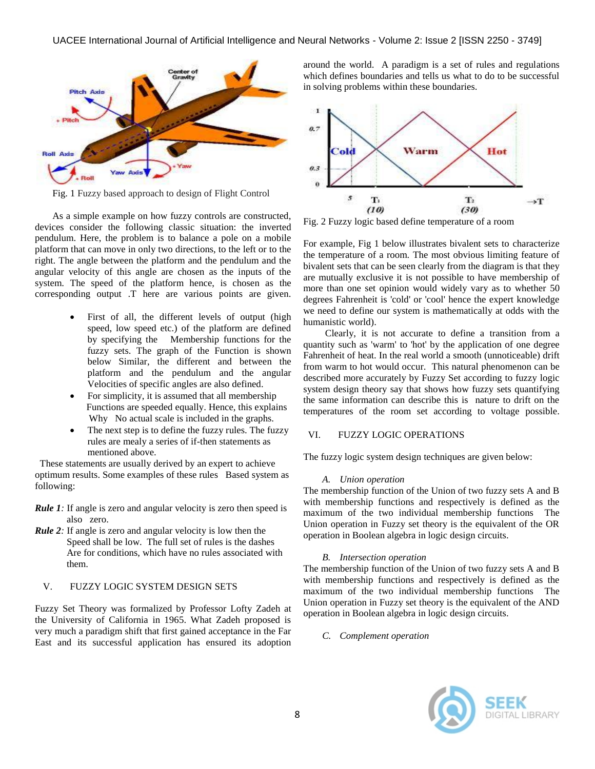

Fig. 1 Fuzzy based approach to design of Flight Control

As a simple example on how fuzzy controls are constructed, devices consider the following classic situation: the inverted pendulum. Here, the problem is to balance a pole on a mobile platform that can move in only two directions, to the left or to the right. The angle between the platform and the pendulum and the angular velocity of this angle are chosen as the inputs of the system. The speed of the platform hence, is chosen as the corresponding output .T here are various points are given.

- First of all, the different levels of output (high speed, low speed etc.) of the platform are defined by specifying the Membership functions for the fuzzy sets. The graph of the Function is shown below Similar, the different and between the platform and the pendulum and the angular Velocities of specific angles are also defined.
- For simplicity, it is assumed that all membership Functions are speeded equally. Hence, this explains Why No actual scale is included in the graphs.
- The next step is to define the fuzzy rules. The fuzzy rules are mealy a series of if-then statements as mentioned above.

 These statements are usually derived by an expert to achieve optimum results. Some examples of these rules Based system as following:

- *Rule 1*: If angle is zero and angular velocity is zero then speed is also zero.
- *Rule 2:* If angle is zero and angular velocity is low then the Speed shall be low. The full set of rules is the dashes Are for conditions, which have no rules associated with them.

# V. FUZZY LOGIC SYSTEM DESIGN SETS

Fuzzy Set Theory was formalized by Professor Lofty Zadeh at the University of California in 1965. What Zadeh proposed is very much a paradigm shift that first gained acceptance in the Far East and its successful application has ensured its adoption around the world. A paradigm is a set of rules and regulations which defines boundaries and tells us what to do to be successful in solving problems within these boundaries.



Fig. 2 Fuzzy logic based define temperature of a room

For example, Fig 1 below illustrates bivalent sets to characterize the temperature of a room. The most obvious limiting feature of bivalent sets that can be seen clearly from the diagram is that they are mutually exclusive it is not possible to have membership of more than one set opinion would widely vary as to whether 50 degrees Fahrenheit is 'cold' or 'cool' hence the expert knowledge we need to define our system is mathematically at odds with the humanistic world).

Clearly, it is not accurate to define a transition from a quantity such as 'warm' to 'hot' by the application of one degree Fahrenheit of heat. In the real world a smooth (unnoticeable) drift from warm to hot would occur. This natural phenomenon can be described more accurately by Fuzzy Set according to fuzzy logic system design theory say that shows how fuzzy sets quantifying the same information can describe this is nature to drift on the temperatures of the room set according to voltage possible.

# VI. FUZZY LOGIC OPERATIONS

The fuzzy logic system design techniques are given below:

# *A. Union operation*

The membership function of the Union of two fuzzy sets A and B with membership functions and respectively is defined as the maximum of the two individual membership functions The Union operation in Fuzzy set theory is the equivalent of the OR operation in Boolean algebra in logic design circuits.

# *B. Intersection operation*

The membership function of the Union of two fuzzy sets A and B with membership functions and respectively is defined as the maximum of the two individual membership functions The Union operation in Fuzzy set theory is the equivalent of the AND operation in Boolean algebra in logic design circuits.

*C. Complement operation*

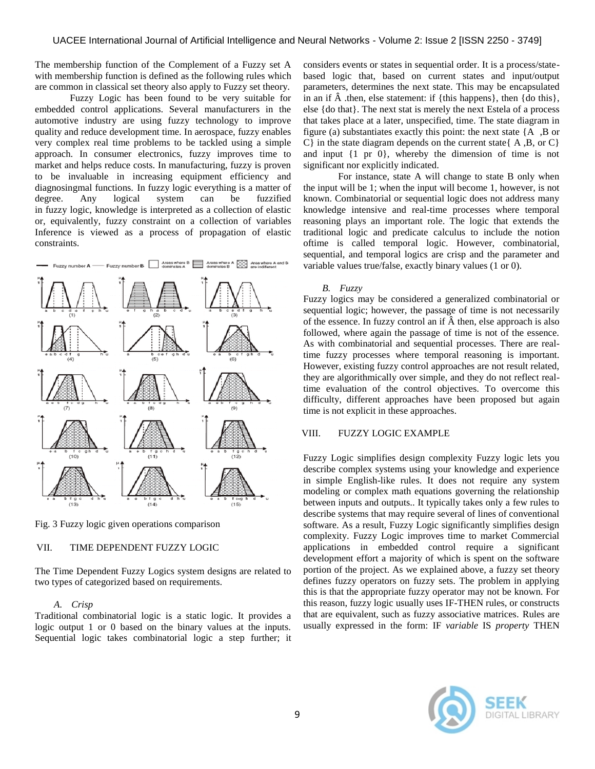The membership function of the Complement of a Fuzzy set A with membership function is defined as the following rules which are common in classical set theory also apply to Fuzzy set theory.

Fuzzy Logic has been found to be very suitable for embedded control applications. Several manufacturers in the automotive industry are using fuzzy technology to improve quality and reduce development time. In aerospace, fuzzy enables very complex real time problems to be tackled using a simple approach. In consumer electronics, fuzzy improves time to market and helps reduce costs. In manufacturing, fuzzy is proven to be invaluable in increasing equipment efficiency and diagnosingmal functions. In fuzzy logic everything is a matter of degree. Any logical system can be fuzzified in fuzzy logic, knowledge is interpreted as a collection of elastic or, equivalently, fuzzy constraint on a collection of variables Inference is viewed as a process of propagation of elastic constraints.



Fig. 3 Fuzzy logic given operations comparison

# VII. TIME DEPENDENT FUZZY LOGIC

The Time Dependent Fuzzy Logics system designs are related to two types of categorized based on requirements.

# *A. Crisp*

Traditional combinatorial logic is a static logic. It provides a logic output 1 or 0 based on the binary values at the inputs. Sequential logic takes combinatorial logic a step further; it considers events or states in sequential order. It is a process/statebased logic that, based on current states and input/output parameters, determines the next state. This may be encapsulated in an if  $\hat{A}$  then, else statement: if {this happens}, then {do this}, else {do that}. The next stat is merely the next Estela of a process that takes place at a later, unspecified, time. The state diagram in figure (a) substantiates exactly this point: the next state  ${A, B \text{ or } B}$  $C$ } in the state diagram depends on the current state  $\{A, B, \text{ or } C\}$ and input {1 pr 0}, whereby the dimension of time is not significant nor explicitly indicated.

For instance, state A will change to state B only when the input will be 1; when the input will become 1, however, is not known. Combinatorial or sequential logic does not address many knowledge intensive and real-time processes where temporal reasoning plays an important role. The logic that extends the traditional logic and predicate calculus to include the notion oftime is called temporal logic. However, combinatorial, sequential, and temporal logics are crisp and the parameter and variable values true/false, exactly binary values (1 or 0).

#### *B. Fuzzy*

Fuzzy logics may be considered a generalized combinatorial or sequential logic; however, the passage of time is not necessarily of the essence. In fuzzy control an if  $\hat{A}$  then, else approach is also followed, where again the passage of time is not of the essence. As with combinatorial and sequential processes. There are realtime fuzzy processes where temporal reasoning is important. However, existing fuzzy control approaches are not result related, they are algorithmically over simple, and they do not reflect realtime evaluation of the control objectives. To overcome this difficulty, different approaches have been proposed but again time is not explicit in these approaches.

# VIII. FUZZY LOGIC EXAMPLE

Fuzzy Logic simplifies design complexity Fuzzy logic lets you describe complex systems using your knowledge and experience in simple English-like rules. It does not require any system modeling or complex math equations governing the relationship between inputs and outputs.. It typically takes only a few rules to describe systems that may require several of lines of conventional software. As a result, Fuzzy Logic significantly simplifies design complexity. Fuzzy Logic improves time to market Commercial applications in embedded control require a significant development effort a majority of which is spent on the software portion of the project. As we explained above, a fuzzy set theory defines fuzzy operators on fuzzy sets. The problem in applying this is that the appropriate fuzzy operator may not be known. For this reason, fuzzy logic usually uses IF-THEN rules, or constructs that are equivalent, such as [fuzzy associative matrices.](http://en.wikipedia.org/wiki/Fuzzy_associative_matrix) Rules are usually expressed in the form: IF *variable* IS *property* THEN

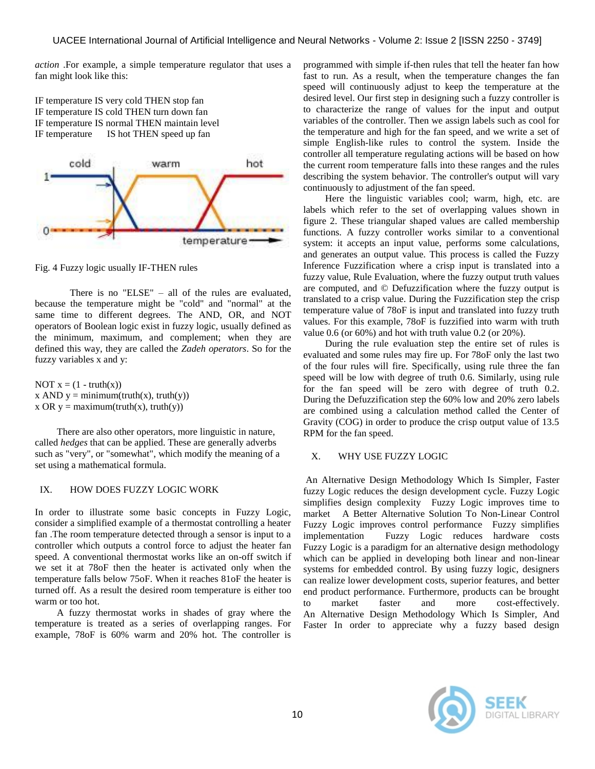*action* .For example, a simple temperature regulator that uses a fan might look like this:

IF temperature IS very cold THEN stop fan IF temperature IS cold THEN turn down fan IF temperature IS normal THEN maintain level IF temperature IS hot THEN speed up fan



Fig. 4 Fuzzy logic usually IF-THEN rules

There is no "ELSE" – all of the rules are evaluated, because the temperature might be "cold" and "normal" at the same time to different degrees. The AND, OR, and NOT [operators](http://en.wikipedia.org/wiki/Logical_operator) of [Boolean](http://en.wikipedia.org/wiki/Boolean_logic) logic exist in fuzzy logic, usually defined as the minimum, maximum, and complement; when they are defined this way, they are called the *Zadeh operators*. So for the fuzzy variables x and y:

NOT  $x = (1 - truth(x))$ x AND  $y = minimum(truth(x), truth(y))$ x OR  $y =$  maximum(truth(x), truth(y))

There are also other operators, more linguistic in nature, called *hedges* that can be applied. These are generally adverbs such as "very", or "somewhat", which modify the meaning of a set using a mathematical [formula.](http://en.wikipedia.org/wiki/Formula)

# IX. HOW DOES FUZZY LOGIC WORK

In order to illustrate some basic concepts in Fuzzy Logic, consider a simplified example of a thermostat controlling a heater fan .The room temperature detected through a sensor is input to a controller which outputs a control force to adjust the heater fan speed. A conventional thermostat works like an on-off switch if we set it at 78oF then the heater is activated only when the temperature falls below 75oF. When it reaches 81oF the heater is turned off. As a result the desired room temperature is either too warm or too hot.

A fuzzy thermostat works in shades of gray where the temperature is treated as a series of overlapping ranges. For example, 78oF is 60% warm and 20% hot. The controller is

programmed with simple if-then rules that tell the heater fan how fast to run. As a result, when the temperature changes the fan speed will continuously adjust to keep the temperature at the desired level. Our first step in designing such a fuzzy controller is to characterize the range of values for the input and output variables of the controller. Then we assign labels such as cool for the temperature and high for the fan speed, and we write a set of simple English-like rules to control the system. Inside the controller all temperature regulating actions will be based on how the current room temperature falls into these ranges and the rules describing the system behavior. The controller's output will vary continuously to adjustment of the fan speed.

Here the linguistic variables cool; warm, high, etc. are labels which refer to the set of overlapping values shown in figure 2. These triangular shaped values are called membership functions. A fuzzy controller works similar to a conventional system: it accepts an input value, performs some calculations, and generates an output value. This process is called the Fuzzy Inference Fuzzification where a crisp input is translated into a fuzzy value, Rule Evaluation, where the fuzzy output truth values are computed, and © Defuzzification where the fuzzy output is translated to a crisp value. During the Fuzzification step the crisp temperature value of 78oF is input and translated into fuzzy truth values. For this example, 78oF is fuzzified into warm with truth value 0.6 (or 60%) and hot with truth value 0.2 (or 20%).

During the rule evaluation step the entire set of rules is evaluated and some rules may fire up. For 78oF only the last two of the four rules will fire. Specifically, using rule three the fan speed will be low with degree of truth 0.6. Similarly, using rule for the fan speed will be zero with degree of truth 0.2. During the Defuzzification step the 60% low and 20% zero labels are combined using a calculation method called the Center of Gravity (COG) in order to produce the crisp output value of 13.5 RPM for the fan speed.

# X. WHY USE FUZZY LOGIC

An Alternative Design Methodology Which Is Simpler, Faster fuzzy Logic reduces the design development cycle. Fuzzy Logic simplifies design complexity Fuzzy Logic improves time to market A Better Alternative Solution To Non-Linear Control Fuzzy Logic improves control performance Fuzzy simplifies implementation Fuzzy Logic reduces hardware costs Fuzzy Logic is a paradigm for an alternative design methodology which can be applied in developing both linear and non-linear systems for embedded control. By using fuzzy logic, designers can realize lower development costs, superior features, and better end product performance. Furthermore, products can be brought to market faster and more cost-effectively. An Alternative Design Methodology Which Is Simpler, And Faster In order to appreciate why a fuzzy based design

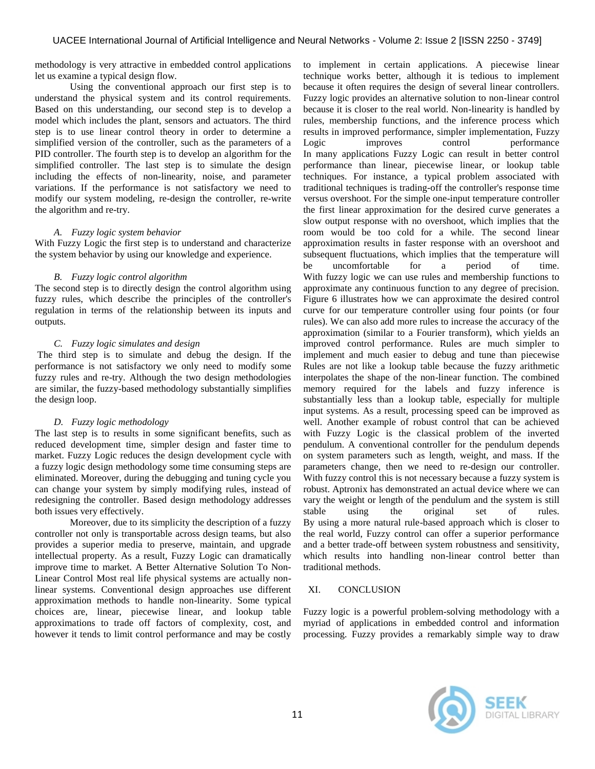methodology is very attractive in embedded control applications let us examine a typical design flow.

Using the conventional approach our first step is to understand the physical system and its control requirements. Based on this understanding, our second step is to develop a model which includes the plant, sensors and actuators. The third step is to use linear control theory in order to determine a simplified version of the controller, such as the parameters of a PID controller. The fourth step is to develop an algorithm for the simplified controller. The last step is to simulate the design including the effects of non-linearity, noise, and parameter variations. If the performance is not satisfactory we need to modify our system modeling, re-design the controller, re-write the algorithm and re-try.

# *A. Fuzzy logic system behavior*

With Fuzzy Logic the first step is to understand and characterize the system behavior by using our knowledge and experience.

# *B. Fuzzy logic control algorithm*

The second step is to directly design the control algorithm using fuzzy rules, which describe the principles of the controller's regulation in terms of the relationship between its inputs and outputs.

# *C. Fuzzy logic simulates and design*

The third step is to simulate and debug the design. If the performance is not satisfactory we only need to modify some fuzzy rules and re-try. Although the two design methodologies are similar, the fuzzy-based methodology substantially simplifies the design loop.

# *D. Fuzzy logic methodology*

The last step is to results in some significant benefits, such as reduced development time, simpler design and faster time to market. Fuzzy Logic reduces the design development cycle with a fuzzy logic design methodology some time consuming steps are eliminated. Moreover, during the debugging and tuning cycle you can change your system by simply modifying rules, instead of redesigning the controller. Based design methodology addresses both issues very effectively.

Moreover, due to its simplicity the description of a fuzzy controller not only is transportable across design teams, but also provides a superior media to preserve, maintain, and upgrade intellectual property. As a result, Fuzzy Logic can dramatically improve time to market. A Better Alternative Solution To Non-Linear Control Most real life physical systems are actually nonlinear systems. Conventional design approaches use different approximation methods to handle non-linearity. Some typical choices are, linear, piecewise linear, and lookup table approximations to trade off factors of complexity, cost, and however it tends to limit control performance and may be costly

to implement in certain applications. A piecewise linear technique works better, although it is tedious to implement because it often requires the design of several linear controllers. Fuzzy logic provides an alternative solution to non-linear control because it is closer to the real world. Non-linearity is handled by rules, membership functions, and the inference process which results in improved performance, simpler implementation, Fuzzy Logic improves control performance In many applications Fuzzy Logic can result in better control performance than linear, piecewise linear, or lookup table techniques. For instance, a typical problem associated with traditional techniques is trading-off the controller's response time versus overshoot. For the simple one-input temperature controller the first linear approximation for the desired curve generates a slow output response with no overshoot, which implies that the room would be too cold for a while. The second linear approximation results in faster response with an overshoot and subsequent fluctuations, which implies that the temperature will be uncomfortable for a period of time. With fuzzy logic we can use rules and membership functions to approximate any continuous function to any degree of precision. Figure 6 illustrates how we can approximate the desired control curve for our temperature controller using four points (or four rules). We can also add more rules to increase the accuracy of the approximation (similar to a Fourier transform), which yields an improved control performance. Rules are much simpler to implement and much easier to debug and tune than piecewise Rules are not like a lookup table because the fuzzy arithmetic interpolates the shape of the non-linear function. The combined memory required for the labels and fuzzy inference is substantially less than a lookup table, especially for multiple input systems. As a result, processing speed can be improved as well. Another example of robust control that can be achieved with Fuzzy Logic is the classical problem of the inverted pendulum. A conventional controller for the pendulum depends on system parameters such as length, weight, and mass. If the parameters change, then we need to re-design our controller. With fuzzy control this is not necessary because a fuzzy system is robust. Aptronix has demonstrated an actual device where we can vary the weight or length of the pendulum and the system is still stable using the original set of rules. By using a more natural rule-based approach which is closer to the real world, Fuzzy control can offer a superior performance and a better trade-off between system robustness and sensitivity, which results into handling non-linear control better than traditional methods.

# XI. CONCLUSION

Fuzzy logic is a powerful problem-solving methodology with a myriad of applications in embedded control and information processing. Fuzzy provides a remarkably simple way to draw

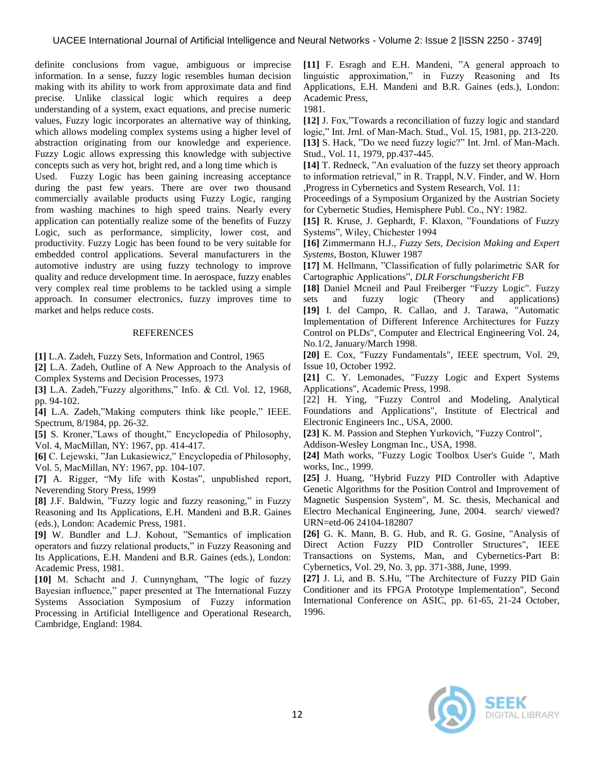definite conclusions from vague, ambiguous or imprecise information. In a sense, fuzzy logic resembles human decision making with its ability to work from approximate data and find precise. Unlike classical logic which requires a deep understanding of a system, exact equations, and precise numeric values, Fuzzy logic incorporates an alternative way of thinking, which allows modeling complex systems using a higher level of abstraction originating from our knowledge and experience. Fuzzy Logic allows expressing this knowledge with subjective concepts such as very hot, bright red, and a long time which is

Used. Fuzzy Logic has been gaining increasing acceptance during the past few years. There are over two thousand commercially available products using Fuzzy Logic, ranging from washing machines to high speed trains. Nearly every application can potentially realize some of the benefits of Fuzzy Logic, such as performance, simplicity, lower cost, and productivity. Fuzzy Logic has been found to be very suitable for embedded control applications. Several manufacturers in the automotive industry are using fuzzy technology to improve quality and reduce development time. In aerospace, fuzzy enables very complex real time problems to be tackled using a simple approach. In consumer electronics, fuzzy improves time to market and helps reduce costs.

#### REFERENCES

**[1]** L.A. Zadeh, Fuzzy Sets, Information and Control, 1965

**[2]** L.A. Zadeh, Outline of A New Approach to the Analysis of Complex Systems and Decision Processes, 1973

**[3]** L.A. Zadeh,"Fuzzy algorithms," Info. & Ctl. Vol. 12, 1968, pp. 94-102.

**[4]** L.A. Zadeh,"Making computers think like people," IEEE. Spectrum, 8/1984, pp. 26-32.

**[5]** S. Kroner,"Laws of thought," Encyclopedia of Philosophy, Vol. 4, MacMillan, NY: 1967, pp. 414-417.

**[6]** C. Lejewski, "Jan Lukasiewicz," Encyclopedia of Philosophy, Vol. 5, MacMillan, NY: 1967, pp. 104-107.

**[7]** A. Rigger, "My life with Kostas", unpublished report, Neverending Story Press, 1999

**[8]** J.F. Baldwin, "Fuzzy logic and fuzzy reasoning," in Fuzzy Reasoning and Its Applications, E.H. Mandeni and B.R. Gaines (eds.), London: Academic Press, 1981.

**[9]** W. Bundler and L.J. Kohout, "Semantics of implication operators and fuzzy relational products," in Fuzzy Reasoning and Its Applications, E.H. Mandeni and B.R. Gaines (eds.), London: Academic Press, 1981.

**[10]** M. Schacht and J. Cunnyngham, "The logic of fuzzy Bayesian influence," paper presented at The International Fuzzy Systems Association Symposium of Fuzzy information Processing in Artificial Intelligence and Operational Research, Cambridge, England: 1984.

**[11]** F. Esragh and E.H. Mandeni, "A general approach to linguistic approximation," in Fuzzy Reasoning and Its Applications, E.H. Mandeni and B.R. Gaines (eds.), London: Academic Press,

1981.

**[12]** J. Fox,"Towards a reconciliation of fuzzy logic and standard logic," Int. Jrnl. of Man-Mach. Stud., Vol. 15, 1981, pp. 213-220. **[13]** S. Hack, "Do we need fuzzy logic?" Int. Jrnl. of Man-Mach. Stud., Vol. 11, 1979, pp.437-445.

**[14]** T. Redneck, "An evaluation of the fuzzy set theory approach to information retrieval," in R. Trappl, N.V. Finder, and W. Horn ,Progress in Cybernetics and System Research, Vol. 11:

Proceedings of a Symposium Organized by the Austrian Society for Cybernetic Studies, Hemisphere Publ. Co., NY: 1982.

**[15]** R. Kruse, J. Gephardt, F. Klaxon, "Foundations of Fuzzy Systems", Wiley, Chichester 1994

**[16]** Zimmermann H.J., *Fuzzy Sets, Decision Making and Expert Systems*, Boston, Kluwer 1987

**[17]** M. Hellmann, "Classification of fully polarimetric SAR for Cartographic Applications", *DLR Forschungsbericht FB*

**[18]** Daniel Mcneil and Paul Freiberger "Fuzzy Logic". Fuzzy sets and fuzzy logic (Theory and applications) **[19]** I. del Campo, R. Callao, and J. Tarawa, "Automatic Implementation of Different Inference Architectures for Fuzzy Control on PLDs", Computer and Electrical Engineering Vol. 24, No.1/2, January/March 1998.

**[20]** E. Cox, "Fuzzy Fundamentals", IEEE spectrum, Vol. 29, Issue 10, October 1992.

**[21]** C. Y. Lemonades, "Fuzzy Logic and Expert Systems Applications", Academic Press, 1998.

[22] H. Ying, "Fuzzy Control and Modeling, Analytical Foundations and Applications", Institute of Electrical and Electronic Engineers Inc., USA, 2000.

**[23]** K. M. Passion and Stephen Yurkovich, "Fuzzy Control",

Addison-Wesley Longman Inc., USA, 1998.

**[24]** Math works, "Fuzzy Logic Toolbox User's Guide ", Math works, Inc., 1999.

**[25]** J. Huang, "Hybrid Fuzzy PID Controller with Adaptive Genetic Algorithms for the Position Control and Improvement of Magnetic Suspension System", M. Sc. thesis, Mechanical and Electro Mechanical Engineering, June, 2004. search/ viewed? URN=etd-06 24104-182807

**[26]** G. K. Mann, B. G. Hub, and R. G. Gosine, "Analysis of Direct Action Fuzzy PID Controller Structures", IEEE Transactions on Systems, Man, and Cybernetics-Part B: Cybernetics, Vol. 29, No. 3, pp. 371-388, June, 1999.

**[27]** J. Li, and B. S.Hu, "The Architecture of Fuzzy PID Gain Conditioner and its FPGA Prototype Implementation", Second International Conference on ASIC, pp. 61-65, 21-24 October, 1996.